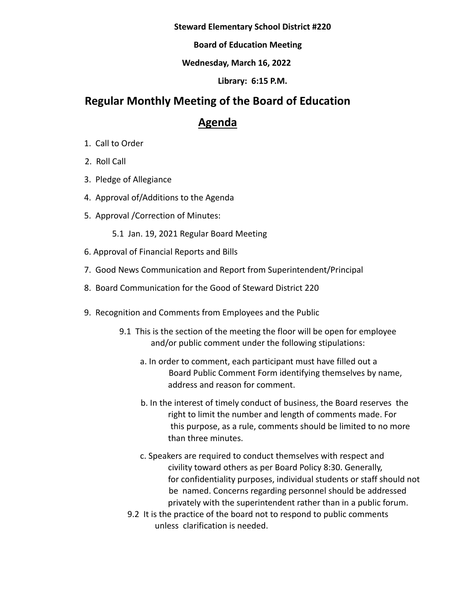#### **Steward Elementary School District #220**

**Board of Education Meeting**

### **Wednesday, March 16, 2022**

**Library: 6:15 P.M.**

# **Regular Monthly Meeting of the Board of Education**

# **Agenda**

- 1. Call to Order
- 2. Roll Call
- 3. Pledge of Allegiance
- 4. Approval of/Additions to the Agenda
- 5. Approval /Correction of Minutes:
	- 5.1 Jan. 19, 2021 Regular Board Meeting
- 6. Approval of Financial Reports and Bills
- 7. Good News Communication and Report from Superintendent/Principal
- 8. Board Communication for the Good of Steward District 220
- 9. Recognition and Comments from Employees and the Public
	- 9.1 This is the section of the meeting the floor will be open for employee and/or public comment under the following stipulations:
		- a. In order to comment, each participant must have filled out a Board Public Comment Form identifying themselves by name, address and reason for comment.
		- b. In the interest of timely conduct of business, the Board reserves the right to limit the number and length of comments made. For this purpose, as a rule, comments should be limited to no more than three minutes.
		- c. Speakers are required to conduct themselves with respect and civility toward others as per Board Policy 8:30. Generally, for confidentiality purposes, individual students or staff should not be named. Concerns regarding personnel should be addressed privately with the superintendent rather than in a public forum.
		- 9.2 It is the practice of the board not to respond to public comments unless clarification is needed.